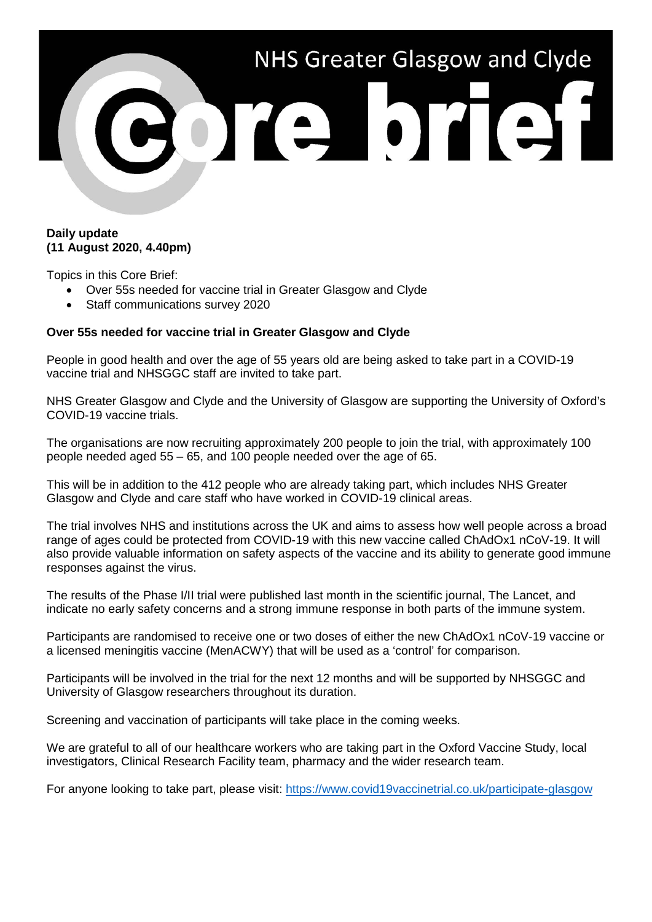

## **Daily update (11 August 2020, 4.40pm)**

Topics in this Core Brief:

- Over 55s needed for vaccine trial in Greater Glasgow and Clyde
- Staff communications survey 2020

## **Over 55s needed for vaccine trial in Greater Glasgow and Clyde**

People in good health and over the age of 55 years old are being asked to take part in a COVID-19 vaccine trial and NHSGGC staff are invited to take part.

NHS Greater Glasgow and Clyde and the University of Glasgow are supporting the University of Oxford's COVID-19 vaccine trials.

The organisations are now recruiting approximately 200 people to join the trial, with approximately 100 people needed aged 55 – 65, and 100 people needed over the age of 65.

This will be in addition to the 412 people who are already taking part, which includes NHS Greater Glasgow and Clyde and care staff who have worked in COVID-19 clinical areas.

The trial involves NHS and institutions across the UK and aims to assess how well people across a broad range of ages could be protected from COVID-19 with this new vaccine called ChAdOx1 nCoV-19. It will also provide valuable information on safety aspects of the vaccine and its ability to generate good immune responses against the virus.

The results of the Phase I/II trial were published last month in the scientific journal, The Lancet, and indicate no early safety concerns and a strong immune response in both parts of the immune system.

Participants are randomised to receive one or two doses of either the new ChAdOx1 nCoV-19 vaccine or a licensed meningitis vaccine (MenACWY) that will be used as a 'control' for comparison.

Participants will be involved in the trial for the next 12 months and will be supported by NHSGGC and University of Glasgow researchers throughout its duration.

Screening and vaccination of participants will take place in the coming weeks.

We are grateful to all of our healthcare workers who are taking part in the Oxford Vaccine Study, local investigators, Clinical Research Facility team, pharmacy and the wider research team.

For anyone looking to take part, please visit:<https://www.covid19vaccinetrial.co.uk/participate-glasgow>